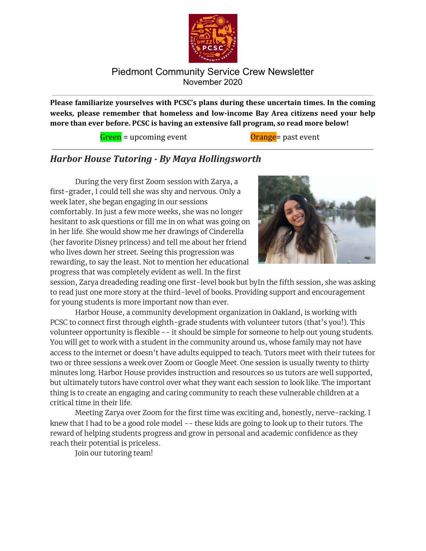

**Please familiarize yourselves with PCSC's plans during these uncertain times. In the coming weeks, please remember that homeless and low-income Bay Area citizens need your help more than ever before. PCSC is having an extensive fall program, so read more below!**

Green = upcoming event Communication Communication of Orange = past event

## *Harbor House Tutoring - By Maya Hollingsworth*

During the very first Zoom session with Zarya, a first-grader, I could tell she was shy and nervous. Only a week later, she began engaging in our sessions comfortably. In just a few more weeks, she was no longer hesitant to ask questions or fill me in on what was going on in her life. She would show me her drawings of Cinderella (her favorite Disney princess) and tell me about her friend who lives down her street. Seeing this progression was rewarding, to say the least. Not to mention her educational progress that was completely evident as well. In the first



session, Zarya dreadeding reading one first-level book but byIn the fifth session, she was asking to read just one more story at the third-level of books. Providing support and encouragement for young students is more important now than ever.

Harbor House, a community development organization in Oakland, is working with PCSC to connect first through eighth-grade students with volunteer tutors (that's you!). This volunteer opportunity is flexible -- it should be simple for someone to help out young students. You will get to work with a student in the community around us, whose family may not have access to the internet or doesn't have adults equipped to teach. Tutors meet with their tutees for two or three sessions a week over Zoom or Google Meet. One session is usually twenty to thirty minutes long. Harbor House provides instruction and resources so us tutors are well supported, but ultimately tutors have control over what they want each session to look like. The important thing is to create an engaging and caring community to reach these vulnerable children at a critical time in their life.

Meeting Zarya over Zoom for the first time was exciting and, honestly, nerve-racking. I knew that I had to be a good role model -- these kids are going to look up to their tutors. The reward of helping students progress and grow in personal and academic confidence as they reach their potential is priceless.

Join our tutoring team!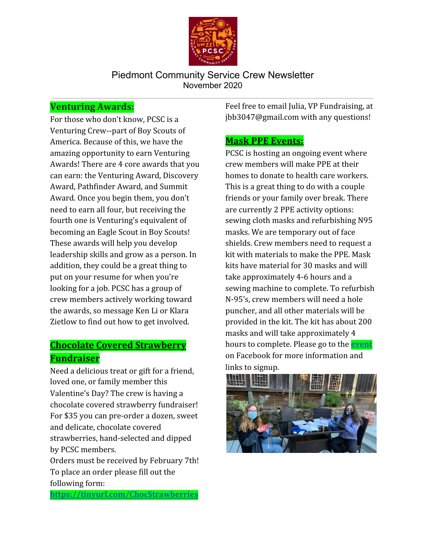

## **Venturing Awards:**

For those who don't know, PCSC is a Venturing Crew--part of Boy Scouts of America. Because of this, we have the amazing opportunity to earn Venturing Awards! There are 4 core awards that you can earn: the Venturing Award, Discovery Award, Pathfinder Award, and Summit Award. Once you begin them, you don't need to earn all four, but receiving the fourth one is Venturing's equivalent of becoming an Eagle Scout in Boy Scouts! These awards will help you develop leadership skills and grow as a person. In addition, they could be a great thing to put on your resume for when you're looking for a job. PCSC has a group of crew members actively working toward the awards, so message Ken Li or Klara Zietlow to find out how to get involved.

# **Chocolate Covered Strawberry Fundraiser**

Need a delicious treat or gift for a friend, loved one, or family member this Valentine's Day? The crew is having a chocolate covered strawberry fundraiser! For \$35 you can pre-order a dozen, sweet and delicate, chocolate covered strawberries, hand-selected and dipped by PCSC members.

Orders must be received by February 7th! To place an order please fill out the following form:

**<https://tinyurl.com/ChocStrawberries>**

Feel free to email Julia, VP Fundraising, at jbb3047@gmail.com with any questions!

## **Mask PPE Events:**

PCSC is hosting an ongoing event where crew members will make PPE at their homes to donate to health care workers. This is a great thing to do with a couple friends or your family over break. There are currently 2 PPE activity options: sewing cloth masks and refurbishing N95 masks. We are temporary out of face shields. Crew members need to request a kit with materials to make the PPE. Mask kits have material for 30 masks and will take approximately 4-6 hours and a sewing machine to complete. To refurbish N-95's, crew members will need a hole puncher, and all other materials will be provided in the kit. The kit has about 200 masks and will take approximately 4 hours to complete. Please go to the **[event](https://www.facebook.com/events/1119459581816225)** on Facebook for more information and links to signup.

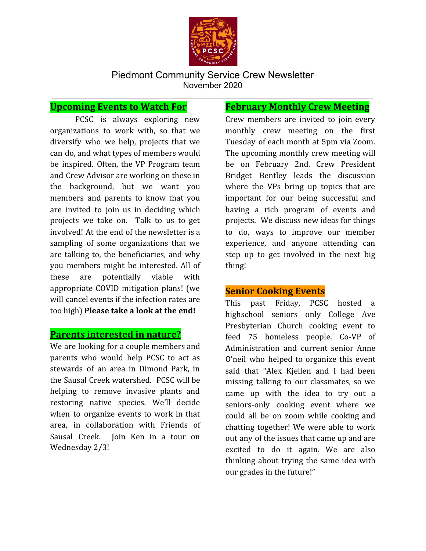

## **Upcoming Events to Watch For**

PCSC is always exploring new organizations to work with, so that we diversify who we help, projects that we can do, and what types of members would be inspired. Often, the VP Program team and Crew Advisor are working on these in the background, but we want you members and parents to know that you are invited to join us in deciding which projects we take on. Talk to us to get involved! At the end of the newsletter is a sampling of some organizations that we are talking to, the beneficiaries, and why you members might be interested. All of these are potentially viable with appropriate COVID mitigation plans! (we will cancel events if the infection rates are too high) **Please take a look at the end!**

#### **Parents interested in nature?**

We are looking for a couple members and parents who would help PCSC to act as stewards of an area in Dimond Park, in the Sausal Creek watershed. PCSC will be helping to remove invasive plants and restoring native species. We'll decide when to organize events to work in that area, in collaboration with Friends of Sausal Creek. Join Ken in a tour on Wednesday 2/3!

## **February Monthly Crew Meeting**

Crew members are invited to join every monthly crew meeting on the first Tuesday of each month at 5pm via Zoom. The upcoming monthly crew meeting will be on February 2nd. Crew President Bridget Bentley leads the discussion where the VPs bring up topics that are important for our being successful and having a rich program of events and projects. We discuss new ideas for things to do, ways to improve our member experience, and anyone attending can step up to get involved in the next big thing!

## **Senior Cooking Events**

This past Friday, PCSC hosted a highschool seniors only College Ave Presbyterian Church cooking event to feed 75 homeless people. Co-VP of Administration and current senior Anne O'neil who helped to organize this event said that "Alex Kjellen and I had been missing talking to our classmates, so we came up with the idea to try out a seniors-only cooking event where we could all be on zoom while cooking and chatting together! We were able to work out any of the issues that came up and are excited to do it again. We are also thinking about trying the same idea with our grades in the future!"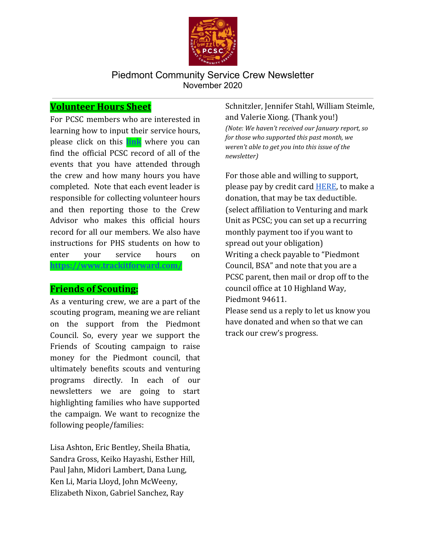

## **Volunteer Hours Sheet**

For PCSC members who are interested in learning how to input their service hours, please click on this **[link](http://pcservicecrew.org/track-your-hours)** where you can find the official PCSC record of all of the events that you have attended through the crew and how many hours you have completed. Note that each event leader is responsible for collecting volunteer hours and then reporting those to the Crew Advisor who makes this official hours record for all our members. We also have instructions for PHS students on how to enter your service hours on **<https://www.trackitforward.com/>**

## **Friends of Scouting:**

As a venturing crew, we are a part of the scouting program, meaning we are reliant on the support from the Piedmont Council. So, every year we support the Friends of Scouting campaign to raise money for the Piedmont council, that ultimately benefits scouts and venturing programs directly. In each of our newsletters we are going to start highlighting families who have supported the campaign. We want to recognize the following people/families:

Lisa Ashton, Eric Bentley, Sheila Bhatia, Sandra Gross, Keiko Hayashi, Esther Hill, Paul Jahn, Midori Lambert, Dana Lung, Ken Li, Maria Lloyd, John McWeeny, Elizabeth Nixon, Gabriel Sanchez, Ray

Schnitzler, Jennifer Stahl, William Steimle, and Valerie Xiong. (Thank you!) *(Note: We haven't received our January report, so for those who supported this past month, we weren't able to get you into this issue of the newsletter)*

For those able and willing to support, please pay by credit card **HERE**, to make a donation, that may be tax deductible. (select affiliation to Venturing and mark Unit as PCSC; you can set up a recurring monthly payment too if you want to spread out your obligation) Writing a check payable to "Piedmont Council, BSA" and note that you are a PCSC parent, then mail or drop off to the council office at 10 Highland Way, Piedmont 94611.

Please send us a reply to let us know you have donated and when so that we can track our crew's progress.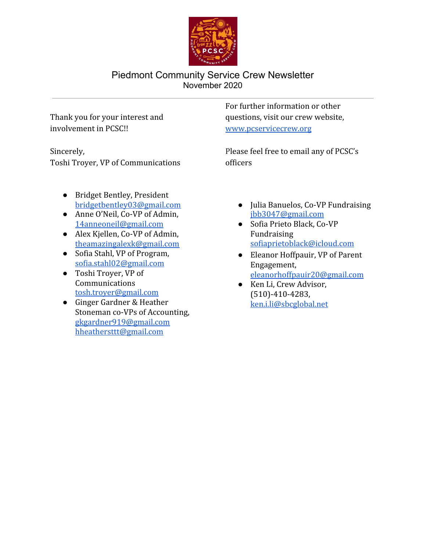

Thank you for your interest and involvement in PCSC!!

Sincerely, Toshi Troyer, VP of Communications

- Bridget Bentley, President [bridgetbentley03@gmail.com](mailto:bridgetbentley03@gmail.com)
- Anne O'Neil, Co-VP of Admin, [14anneoneil@gmail.com](mailto:14anneoneil@gmail.com)
- Alex Kjellen, Co-VP of Admin, [theamazingalexk@gmail.com](mailto:theamazingalexk@gmail.com)
- Sofia Stahl, VP of Program, [sofia.stahl02@gmail.com](mailto:sofiastahl02@gmail.com)
- Toshi Troyer, VP of Communications [tosh.troyer@gmail.com](mailto:toshi.troyer@gmail.com)
- Ginger Gardner & Heather Stoneman co-VPs of Accounting, [gkgardner919@gmail.com](mailto:gkgardner919@gmail.com) [hheathersttt@gmail.com](mailto:hheathersttt@gmail.com)

For further information or other questions, visit our crew website, [www.pcservicecrew.org](http://www.pcservicecrew.org/)

Please feel free to email any of PCSC's officers

- Julia Banuelos, Co-VP Fundraising [jbb3047@gmail.com](mailto:jbb3047@gmail.com)
- Sofia Prieto Black, Co-VP Fundraising [sofiaprietoblack@icloud.com](mailto:sofiaprietoblack@icloud.com)
- Eleanor Hoffpauir, VP of Parent Engagement, [eleanorhoffpauir20@gmail.com](mailto:eleanorhoffpauir20@gmail.com)
- Ken Li, Crew Advisor, (510)-410-4283, [ken.i.li@sbcglobal.net](mailto:ken.i.li@sbcglobal.net)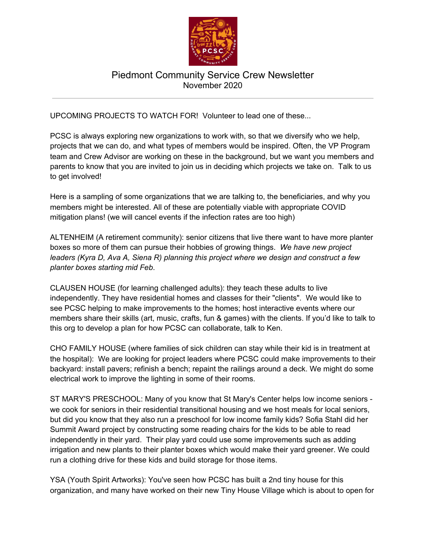

UPCOMING PROJECTS TO WATCH FOR! Volunteer to lead one of these...

PCSC is always exploring new organizations to work with, so that we diversify who we help, projects that we can do, and what types of members would be inspired. Often, the VP Program team and Crew Advisor are working on these in the background, but we want you members and parents to know that you are invited to join us in deciding which projects we take on. Talk to us to get involved!

Here is a sampling of some organizations that we are talking to, the beneficiaries, and why you members might be interested. All of these are potentially viable with appropriate COVID mitigation plans! (we will cancel events if the infection rates are too high)

ALTENHEIM (A retirement community): senior citizens that live there want to have more planter boxes so more of them can pursue their hobbies of growing things. *We have new project leaders (Kyra D, Ava A, Siena R) planning this project where we design and construct a few planter boxes starting mid Feb*.

CLAUSEN HOUSE (for learning challenged adults): they teach these adults to live independently. They have residential homes and classes for their "clients". We would like to see PCSC helping to make improvements to the homes; host interactive events where our members share their skills (art, music, crafts, fun & games) with the clients. If you'd like to talk to this org to develop a plan for how PCSC can collaborate, talk to Ken.

CHO FAMILY HOUSE (where families of sick children can stay while their kid is in treatment at the hospital): We are looking for project leaders where PCSC could make improvements to their backyard: install pavers; refinish a bench; repaint the railings around a deck. We might do some electrical work to improve the lighting in some of their rooms.

ST MARY'S PRESCHOOL: Many of you know that St Mary's Center helps low income seniors we cook for seniors in their residential transitional housing and we host meals for local seniors, but did you know that they also run a preschool for low income family kids? Sofia Stahl did her Summit Award project by constructing some reading chairs for the kids to be able to read independently in their yard. Their play yard could use some improvements such as adding irrigation and new plants to their planter boxes which would make their yard greener. We could run a clothing drive for these kids and build storage for those items.

YSA (Youth Spirit Artworks): You've seen how PCSC has built a 2nd tiny house for this organization, and many have worked on their new Tiny House Village which is about to open for